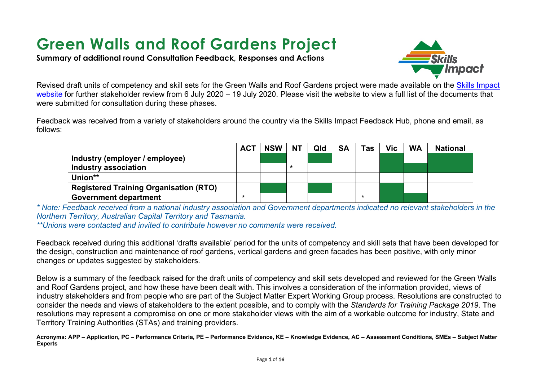# **Green Walls and Roof Gardens Project**

**Summary of additional round Consultation Feedback, Responses and Actions**



Revised draft units of competency and skill sets for the Green Walls and Roof Gardens project were made available on the Skills Impact [website](https://www.skillsimpact.com.au/horticulture-conservation-and-land-management/training-package-projects/green-walls-rooftop-gardens-project/) for further stakeholder review from 6 July 2020 – 19 July 2020. Please visit the website to view a full list of the documents that were submitted for consultation during these phases.

Feedback was received from a variety of stakeholders around the country via the Skills Impact Feedback Hub, phone and email, as follows:

|                                               | <b>ACT</b> | <b>NSW</b> | <b>NT</b> | Qld | <b>SA</b> | Tas | Vic | <b>WA</b> | <b>National</b> |
|-----------------------------------------------|------------|------------|-----------|-----|-----------|-----|-----|-----------|-----------------|
| Industry (employer / employee)                |            |            |           |     |           |     |     |           |                 |
| Industry association                          |            |            | $\star$   |     |           |     |     |           |                 |
| Union**                                       |            |            |           |     |           |     |     |           |                 |
| <b>Registered Training Organisation (RTO)</b> |            |            |           |     |           |     |     |           |                 |
| <b>Government department</b>                  | ×          |            |           |     |           |     |     |           |                 |

*\* Note: Feedback received from a national industry association and Government departments indicated no relevant stakeholders in the Northern Territory, Australian Capital Territory and Tasmania.* 

*\*\*Unions were contacted and invited to contribute however no comments were received.* 

Feedback received during this additional 'drafts available' period for the units of competency and skill sets that have been developed for the design, construction and maintenance of roof gardens, vertical gardens and green facades has been positive, with only minor changes or updates suggested by stakeholders.

Below is a summary of the feedback raised for the draft units of competency and skill sets developed and reviewed for the Green Walls and Roof Gardens project, and how these have been dealt with. This involves a consideration of the information provided, views of industry stakeholders and from people who are part of the Subject Matter Expert Working Group process. Resolutions are constructed to consider the needs and views of stakeholders to the extent possible, and to comply with the *Standards for Training Package 2019*. The resolutions may represent a compromise on one or more stakeholder views with the aim of a workable outcome for industry, State and Territory Training Authorities (STAs) and training providers.

**Acronyms: APP – Application, PC – Performance Criteria, PE – Performance Evidence, KE – Knowledge Evidence, AC – Assessment Conditions, SMEs – Subject Matter Experts**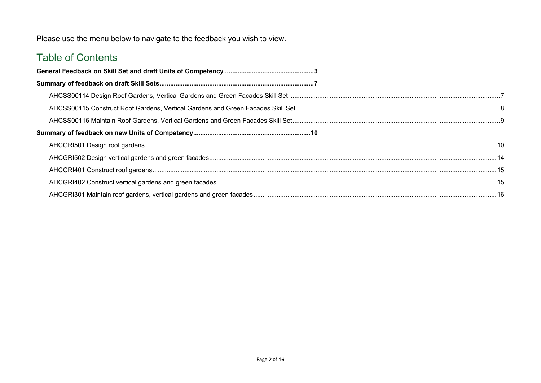Please use the menu below to navigate to the feedback you wish to view.

## Table of Contents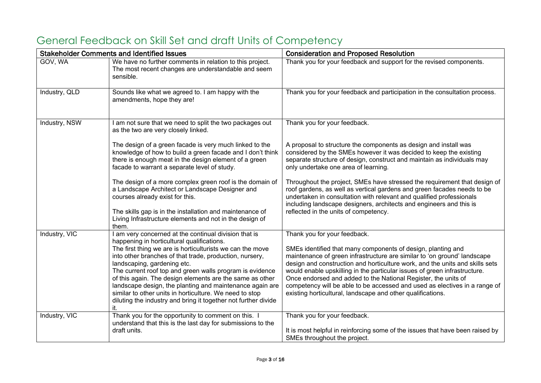|                      | <b>Stakeholder Comments and Identified Issues</b>                                                                                                                                                                                                                                                                                                                                                                                                                                                                                                                                           | <b>Consideration and Proposed Resolution</b>                                                                                                                                                                                                                                                                                                                                                                                                                                                                                                         |
|----------------------|---------------------------------------------------------------------------------------------------------------------------------------------------------------------------------------------------------------------------------------------------------------------------------------------------------------------------------------------------------------------------------------------------------------------------------------------------------------------------------------------------------------------------------------------------------------------------------------------|------------------------------------------------------------------------------------------------------------------------------------------------------------------------------------------------------------------------------------------------------------------------------------------------------------------------------------------------------------------------------------------------------------------------------------------------------------------------------------------------------------------------------------------------------|
| GOV, WA              | We have no further comments in relation to this project.<br>The most recent changes are understandable and seem<br>sensible.                                                                                                                                                                                                                                                                                                                                                                                                                                                                | Thank you for your feedback and support for the revised components.                                                                                                                                                                                                                                                                                                                                                                                                                                                                                  |
| Industry, QLD        | Sounds like what we agreed to. I am happy with the<br>amendments, hope they are!                                                                                                                                                                                                                                                                                                                                                                                                                                                                                                            | Thank you for your feedback and participation in the consultation process.                                                                                                                                                                                                                                                                                                                                                                                                                                                                           |
| <b>Industry, NSW</b> | I am not sure that we need to split the two packages out<br>as the two are very closely linked.                                                                                                                                                                                                                                                                                                                                                                                                                                                                                             | Thank you for your feedback.                                                                                                                                                                                                                                                                                                                                                                                                                                                                                                                         |
|                      | The design of a green facade is very much linked to the<br>knowledge of how to build a green facade and I don't think<br>there is enough meat in the design element of a green<br>facade to warrant a separate level of study.                                                                                                                                                                                                                                                                                                                                                              | A proposal to structure the components as design and install was<br>considered by the SMEs however it was decided to keep the existing<br>separate structure of design, construct and maintain as individuals may<br>only undertake one area of learning.                                                                                                                                                                                                                                                                                            |
|                      | The design of a more complex green roof is the domain of<br>a Landscape Architect or Landscape Designer and<br>courses already exist for this.<br>The skills gap is in the installation and maintenance of<br>Living Infrastructure elements and not in the design of                                                                                                                                                                                                                                                                                                                       | Throughout the project, SMEs have stressed the requirement that design of<br>roof gardens, as well as vertical gardens and green facades needs to be<br>undertaken in consultation with relevant and qualified professionals<br>including landscape designers, architects and engineers and this is<br>reflected in the units of competency.                                                                                                                                                                                                         |
| Industry, VIC        | them.<br>I am very concerned at the continual division that is<br>happening in horticultural qualifications.<br>The first thing we are is horticulturists we can the move<br>into other branches of that trade, production, nursery,<br>landscaping, gardening etc.<br>The current roof top and green walls program is evidence<br>of this again. The design elements are the same as other<br>landscape design, the planting and maintenance again are<br>similar to other units in horticulture. We need to stop<br>diluting the industry and bring it together not further divide<br>it. | Thank you for your feedback.<br>SMEs identified that many components of design, planting and<br>maintenance of green infrastructure are similar to 'on ground' landscape<br>design and construction and horticulture work, and the units and skills sets<br>would enable upskilling in the particular issues of green infrastructure.<br>Once endorsed and added to the National Register, the units of<br>competency will be able to be accessed and used as electives in a range of<br>existing horticultural, landscape and other qualifications. |
| Industry, VIC        | Thank you for the opportunity to comment on this. I<br>understand that this is the last day for submissions to the<br>draft units.                                                                                                                                                                                                                                                                                                                                                                                                                                                          | Thank you for your feedback.<br>It is most helpful in reinforcing some of the issues that have been raised by<br>SMEs throughout the project.                                                                                                                                                                                                                                                                                                                                                                                                        |

# <span id="page-2-0"></span>General Feedback on Skill Set and draft Units of Competency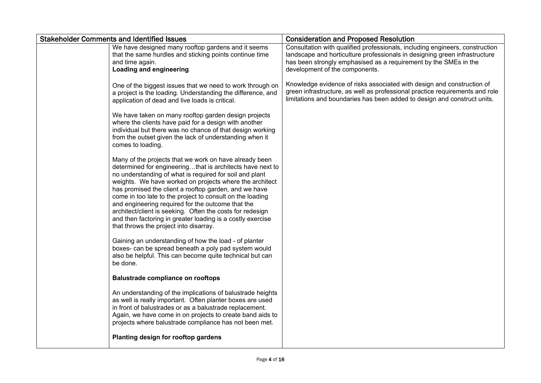| <b>Stakeholder Comments and Identified Issues</b>                                                                                                                                                                                                                                                                                                                                                                                                                                                                                                                                         | <b>Consideration and Proposed Resolution</b>                                                                                                                                                                                                                     |
|-------------------------------------------------------------------------------------------------------------------------------------------------------------------------------------------------------------------------------------------------------------------------------------------------------------------------------------------------------------------------------------------------------------------------------------------------------------------------------------------------------------------------------------------------------------------------------------------|------------------------------------------------------------------------------------------------------------------------------------------------------------------------------------------------------------------------------------------------------------------|
| We have designed many rooftop gardens and it seems<br>that the same hurdles and sticking points continue time<br>and time again.<br><b>Loading and engineering</b>                                                                                                                                                                                                                                                                                                                                                                                                                        | Consultation with qualified professionals, including engineers, construction<br>landscape and horticulture professionals in designing green infrastructure<br>has been strongly emphasised as a requirement by the SMEs in the<br>development of the components. |
| One of the biggest issues that we need to work through on<br>a project is the loading. Understanding the difference, and<br>application of dead and live loads is critical.                                                                                                                                                                                                                                                                                                                                                                                                               | Knowledge evidence of risks associated with design and construction of<br>green infrastructure, as well as professional practice requirements and role<br>limitations and boundaries has been added to design and construct units.                               |
| We have taken on many rooftop garden design projects<br>where the clients have paid for a design with another<br>individual but there was no chance of that design working<br>from the outset given the lack of understanding when it<br>comes to loading.                                                                                                                                                                                                                                                                                                                                |                                                                                                                                                                                                                                                                  |
| Many of the projects that we work on have already been<br>determined for engineeringthat is architects have next to<br>no understanding of what is required for soil and plant<br>weights. We have worked on projects where the architect<br>has promised the client a rooftop garden, and we have<br>come in too late to the project to consult on the loading<br>and engineering required for the outcome that the<br>architect/client is seeking. Often the costs for redesign<br>and then factoring in greater loading is a costly exercise<br>that throws the project into disarray. |                                                                                                                                                                                                                                                                  |
| Gaining an understanding of how the load - of planter<br>boxes- can be spread beneath a poly pad system would<br>also be helpful. This can become quite technical but can<br>be done.                                                                                                                                                                                                                                                                                                                                                                                                     |                                                                                                                                                                                                                                                                  |
| <b>Balustrade compliance on rooftops</b>                                                                                                                                                                                                                                                                                                                                                                                                                                                                                                                                                  |                                                                                                                                                                                                                                                                  |
| An understanding of the implications of balustrade heights<br>as well is really important. Often planter boxes are used<br>in front of balustrades or as a balustrade replacement.<br>Again, we have come in on projects to create band aids to<br>projects where balustrade compliance has not been met.                                                                                                                                                                                                                                                                                 |                                                                                                                                                                                                                                                                  |
| Planting design for rooftop gardens                                                                                                                                                                                                                                                                                                                                                                                                                                                                                                                                                       |                                                                                                                                                                                                                                                                  |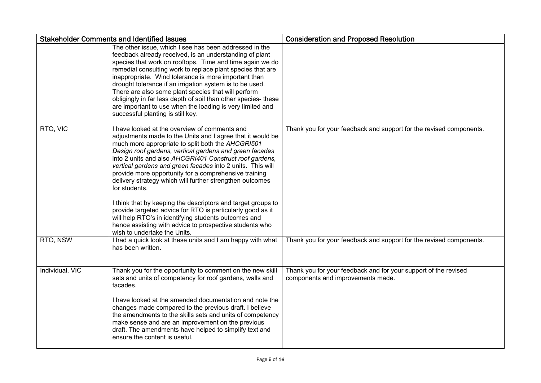|                 | <b>Stakeholder Comments and Identified Issues</b>                                                                                                                                                                                                                                                                                                                                                                                                                                                                                                                                                                                                                                                                                                                           | <b>Consideration and Proposed Resolution</b>                                                         |
|-----------------|-----------------------------------------------------------------------------------------------------------------------------------------------------------------------------------------------------------------------------------------------------------------------------------------------------------------------------------------------------------------------------------------------------------------------------------------------------------------------------------------------------------------------------------------------------------------------------------------------------------------------------------------------------------------------------------------------------------------------------------------------------------------------------|------------------------------------------------------------------------------------------------------|
|                 | The other issue, which I see has been addressed in the<br>feedback already received, is an understanding of plant<br>species that work on rooftops. Time and time again we do<br>remedial consulting work to replace plant species that are<br>inappropriate. Wind tolerance is more important than<br>drought tolerance if an irrigation system is to be used.<br>There are also some plant species that will perform<br>obligingly in far less depth of soil than other species- these<br>are important to use when the loading is very limited and<br>successful planting is still key.                                                                                                                                                                                  |                                                                                                      |
| RTO, VIC        | I have looked at the overview of comments and<br>adjustments made to the Units and I agree that it would be<br>much more appropriate to split both the AHCGRI501<br>Design roof gardens, vertical gardens and green facades<br>into 2 units and also AHCGRI401 Construct roof gardens,<br>vertical gardens and green facades into 2 units. This will<br>provide more opportunity for a comprehensive training<br>delivery strategy which will further strengthen outcomes<br>for students.<br>I think that by keeping the descriptors and target groups to<br>provide targeted advice for RTO is particularly good as it<br>will help RTO's in identifying students outcomes and<br>hence assisting with advice to prospective students who<br>wish to undertake the Units. | Thank you for your feedback and support for the revised components.                                  |
| RTO, NSW        | I had a quick look at these units and I am happy with what<br>has been written.                                                                                                                                                                                                                                                                                                                                                                                                                                                                                                                                                                                                                                                                                             | Thank you for your feedback and support for the revised components.                                  |
| Individual, VIC | Thank you for the opportunity to comment on the new skill<br>sets and units of competency for roof gardens, walls and<br>facades.<br>I have looked at the amended documentation and note the<br>changes made compared to the previous draft. I believe<br>the amendments to the skills sets and units of competency<br>make sense and are an improvement on the previous<br>draft. The amendments have helped to simplify text and<br>ensure the content is useful.                                                                                                                                                                                                                                                                                                         | Thank you for your feedback and for your support of the revised<br>components and improvements made. |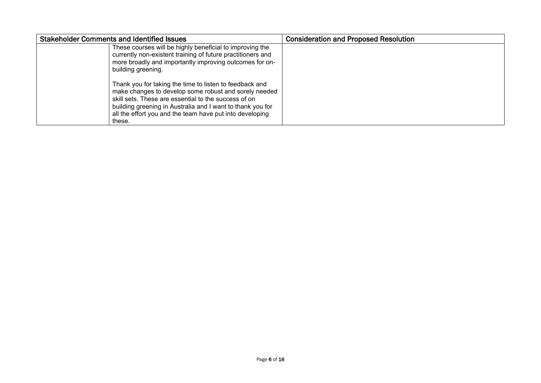| <b>Stakeholder Comments and Identified Issues</b>                                                                                                                                                                                                                                                            | <b>Consideration and Proposed Resolution</b> |
|--------------------------------------------------------------------------------------------------------------------------------------------------------------------------------------------------------------------------------------------------------------------------------------------------------------|----------------------------------------------|
| These courses will be highly beneficial to improving the<br>currently non-existent training of future practitioners and<br>more broadly and importantly improving outcomes for on-<br>building greening.                                                                                                     |                                              |
| Thank you for taking the time to listen to feedback and<br>make changes to develop some robust and sorely needed<br>skill sets. These are essential to the success of on<br>building greening in Australia and I want to thank you for<br>all the effort you and the team have put into developing<br>these. |                                              |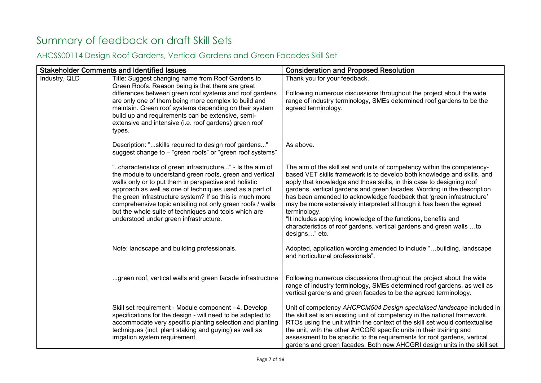# <span id="page-6-0"></span>Summary of feedback on draft Skill Sets

#### <span id="page-6-1"></span>AHCSS00114 Design Roof Gardens, Vertical Gardens and Green Facades Skill Set

|               | <b>Stakeholder Comments and Identified Issues</b>                                                                                                                                                                                                                                                                                                                                                                                                                      | <b>Consideration and Proposed Resolution</b>                                                                                                                                                                                                                                                                                                                                                                                                                                                                                                                                                                                     |
|---------------|------------------------------------------------------------------------------------------------------------------------------------------------------------------------------------------------------------------------------------------------------------------------------------------------------------------------------------------------------------------------------------------------------------------------------------------------------------------------|----------------------------------------------------------------------------------------------------------------------------------------------------------------------------------------------------------------------------------------------------------------------------------------------------------------------------------------------------------------------------------------------------------------------------------------------------------------------------------------------------------------------------------------------------------------------------------------------------------------------------------|
| Industry, QLD | Title: Suggest changing name from Roof Gardens to<br>Green Roofs. Reason being is that there are great<br>differences between green roof systems and roof gardens<br>are only one of them being more complex to build and<br>maintain. Green roof systems depending on their system<br>build up and requirements can be extensive, semi-<br>extensive and intensive (i.e. roof gardens) green roof<br>types.                                                           | Thank you for your feedback.<br>Following numerous discussions throughout the project about the wide<br>range of industry terminology, SMEs determined roof gardens to be the<br>agreed terminology.                                                                                                                                                                                                                                                                                                                                                                                                                             |
|               | Description: "skills required to design roof gardens"<br>suggest change to - "green roofs" or "green roof systems"                                                                                                                                                                                                                                                                                                                                                     | As above.                                                                                                                                                                                                                                                                                                                                                                                                                                                                                                                                                                                                                        |
|               | "characteristics of green infrastructure" - Is the aim of<br>the module to understand green roofs, green and vertical<br>walls only or to put them in perspective and holistic<br>approach as well as one of techniques used as a part of<br>the green infrastructure system? If so this is much more<br>comprehensive topic entailing not only green roofs / walls<br>but the whole suite of techniques and tools which are<br>understood under green infrastructure. | The aim of the skill set and units of competency within the competency-<br>based VET skills framework is to develop both knowledge and skills, and<br>apply that knowledge and those skills, in this case to designing roof<br>gardens, vertical gardens and green facades. Wording in the description<br>has been amended to acknowledge feedback that 'green infrastructure'<br>may be more extensively interpreted although it has been the agreed<br>terminology.<br>"It includes applying knowledge of the functions, benefits and<br>characteristics of roof gardens, vertical gardens and green walls to<br>designs" etc. |
|               | Note: landscape and building professionals.                                                                                                                                                                                                                                                                                                                                                                                                                            | Adopted, application wording amended to include "building, landscape<br>and horticultural professionals".                                                                                                                                                                                                                                                                                                                                                                                                                                                                                                                        |
|               | green roof, vertical walls and green facade infrastructure                                                                                                                                                                                                                                                                                                                                                                                                             | Following numerous discussions throughout the project about the wide<br>range of industry terminology, SMEs determined roof gardens, as well as<br>vertical gardens and green facades to be the agreed terminology.                                                                                                                                                                                                                                                                                                                                                                                                              |
|               | Skill set requirement - Module component - 4. Develop<br>specifications for the design - will need to be adapted to<br>accommodate very specific planting selection and planting<br>techniques (incl. plant staking and guying) as well as<br>irrigation system requirement.                                                                                                                                                                                           | Unit of competency AHCPCM504 Design specialised landscape included in<br>the skill set is an existing unit of competency in the national framework.<br>RTOs using the unit within the context of the skill set would contextualise<br>the unit, with the other AHCGRI specific units in their training and<br>assessment to be specific to the requirements for roof gardens, vertical<br>gardens and green facades. Both new AHCGRI design units in the skill set                                                                                                                                                               |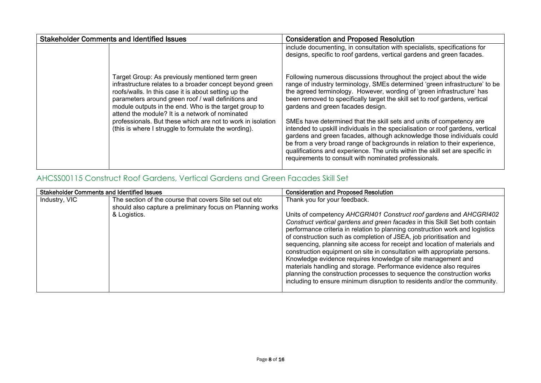| <b>Stakeholder Comments and Identified Issues</b> |                                                                                                                                                                                                                                                                                                                                                                                                                                                                | <b>Consideration and Proposed Resolution</b>                                                                                                                                                                                                                                                                                                                                                                                                                                                                                                                                                                                                                                                                                                                                                                    |
|---------------------------------------------------|----------------------------------------------------------------------------------------------------------------------------------------------------------------------------------------------------------------------------------------------------------------------------------------------------------------------------------------------------------------------------------------------------------------------------------------------------------------|-----------------------------------------------------------------------------------------------------------------------------------------------------------------------------------------------------------------------------------------------------------------------------------------------------------------------------------------------------------------------------------------------------------------------------------------------------------------------------------------------------------------------------------------------------------------------------------------------------------------------------------------------------------------------------------------------------------------------------------------------------------------------------------------------------------------|
|                                                   |                                                                                                                                                                                                                                                                                                                                                                                                                                                                | include documenting, in consultation with specialists, specifications for<br>designs, specific to roof gardens, vertical gardens and green facades.                                                                                                                                                                                                                                                                                                                                                                                                                                                                                                                                                                                                                                                             |
|                                                   | Target Group: As previously mentioned term green<br>infrastructure relates to a broader concept beyond green<br>roofs/walls. In this case it is about setting up the<br>parameters around green roof / wall definitions and<br>module outputs in the end. Who is the target group to<br>attend the module? It is a network of nominated<br>professionals. But these which are not to work in isolation<br>(this is where I struggle to formulate the wording). | Following numerous discussions throughout the project about the wide<br>range of industry terminology, SMEs determined 'green infrastructure' to be<br>the agreed terminology. However, wording of 'green infrastructure' has<br>been removed to specifically target the skill set to roof gardens, vertical<br>gardens and green facades design.<br>SMEs have determined that the skill sets and units of competency are<br>intended to upskill individuals in the specialisation or roof gardens, vertical<br>gardens and green facades, although acknowledge those individuals could<br>be from a very broad range of backgrounds in relation to their experience,<br>qualifications and experience. The units within the skill set are specific in<br>requirements to consult with nominated professionals. |

#### <span id="page-7-0"></span>AHCSS00115 Construct Roof Gardens, Vertical Gardens and Green Facades Skill Set

| <b>Stakeholder Comments and Identified Issues</b> |                                                           | <b>Consideration and Proposed Resolution</b>                                                                                                                                                                                                                                              |
|---------------------------------------------------|-----------------------------------------------------------|-------------------------------------------------------------------------------------------------------------------------------------------------------------------------------------------------------------------------------------------------------------------------------------------|
| Industry, VIC                                     | The section of the course that covers Site set out etc    | Thank you for your feedback.                                                                                                                                                                                                                                                              |
|                                                   | should also capture a preliminary focus on Planning works |                                                                                                                                                                                                                                                                                           |
|                                                   | & Logistics.                                              | Units of competency AHCGRI401 Construct roof gardens and AHCGRI402                                                                                                                                                                                                                        |
|                                                   |                                                           | Construct vertical gardens and green facades in this Skill Set both contain<br>performance criteria in relation to planning construction work and logistics<br>of construction such as completion of JSEA, job prioritisation and                                                         |
|                                                   |                                                           | sequencing, planning site access for receipt and location of materials and<br>construction equipment on site in consultation with appropriate persons.                                                                                                                                    |
|                                                   |                                                           | Knowledge evidence requires knowledge of site management and<br>materials handling and storage. Performance evidence also requires<br>planning the construction processes to sequence the construction works<br>including to ensure minimum disruption to residents and/or the community. |
|                                                   |                                                           |                                                                                                                                                                                                                                                                                           |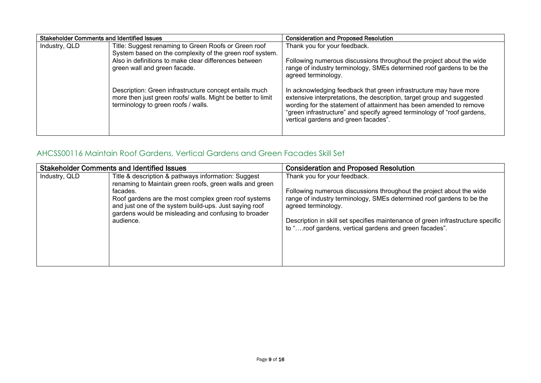| <b>Stakeholder Comments and Identified Issues</b> |                                                                                                                                                              | <b>Consideration and Proposed Resolution</b>                                                                                                                                                                                                                                                                                         |
|---------------------------------------------------|--------------------------------------------------------------------------------------------------------------------------------------------------------------|--------------------------------------------------------------------------------------------------------------------------------------------------------------------------------------------------------------------------------------------------------------------------------------------------------------------------------------|
| Industry, QLD                                     | Title: Suggest renaming to Green Roofs or Green roof                                                                                                         | Thank you for your feedback.                                                                                                                                                                                                                                                                                                         |
|                                                   | System based on the complexity of the green roof system.                                                                                                     |                                                                                                                                                                                                                                                                                                                                      |
|                                                   | Also in definitions to make clear differences between<br>green wall and green facade.                                                                        | Following numerous discussions throughout the project about the wide<br>range of industry terminology, SMEs determined roof gardens to be the<br>agreed terminology.                                                                                                                                                                 |
|                                                   | Description: Green infrastructure concept entails much<br>more then just green roofs/ walls. Might be better to limit<br>terminology to green roofs / walls. | In acknowledging feedback that green infrastructure may have more<br>extensive interpretations, the description, target group and suggested<br>wording for the statement of attainment has been amended to remove<br>"green infrastructure" and specify agreed terminology of "roof gardens,<br>vertical gardens and green facades". |

#### <span id="page-8-0"></span>AHCSS00116 Maintain Roof Gardens, Vertical Gardens and Green Facades Skill Set

|               | <b>Stakeholder Comments and Identified Issues</b>                                                                                                                                   | <b>Consideration and Proposed Resolution</b>                                                                                                                                    |
|---------------|-------------------------------------------------------------------------------------------------------------------------------------------------------------------------------------|---------------------------------------------------------------------------------------------------------------------------------------------------------------------------------|
| Industry, QLD | Title & description & pathways information: Suggest<br>renaming to Maintain green roofs, green walls and green<br>facades.                                                          | Thank you for your feedback.<br>Following numerous discussions throughout the project about the wide                                                                            |
|               | Roof gardens are the most complex green roof systems<br>and just one of the system build-ups. Just saying roof<br>gardens would be misleading and confusing to broader<br>audience. | range of industry terminology, SMEs determined roof gardens to be the<br>agreed terminology.<br>Description in skill set specifies maintenance of green infrastructure specific |
|               |                                                                                                                                                                                     | to "roof gardens, vertical gardens and green facades".                                                                                                                          |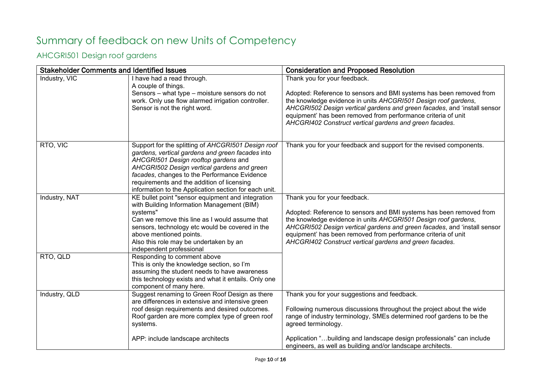# <span id="page-9-0"></span>Summary of feedback on new Units of Competency

#### <span id="page-9-1"></span>AHCGRI501 Design roof gardens

|               | <b>Stakeholder Comments and Identified Issues</b>                                                                                                                                                                                                                                                                                                    | <b>Consideration and Proposed Resolution</b>                                                                                                                                                                                                                                                                                                                                  |
|---------------|------------------------------------------------------------------------------------------------------------------------------------------------------------------------------------------------------------------------------------------------------------------------------------------------------------------------------------------------------|-------------------------------------------------------------------------------------------------------------------------------------------------------------------------------------------------------------------------------------------------------------------------------------------------------------------------------------------------------------------------------|
| Industry, VIC | I have had a read through.<br>A couple of things.<br>Sensors - what type - moisture sensors do not<br>work. Only use flow alarmed irrigation controller.<br>Sensor is not the right word.                                                                                                                                                            | Thank you for your feedback.<br>Adopted: Reference to sensors and BMI systems has been removed from<br>the knowledge evidence in units AHCGR1501 Design roof gardens,<br>AHCGRI502 Design vertical gardens and green facades, and 'install sensor<br>equipment' has been removed from performance criteria of unit<br>AHCGRI402 Construct vertical gardens and green facades. |
| RTO, VIC      | Support for the splitting of AHCGRI501 Design roof<br>gardens, vertical gardens and green facades into<br>AHCGRI501 Design rooftop gardens and<br>AHCGRI502 Design vertical gardens and green<br>facades, changes to the Performance Evidence<br>requirements and the addition of licensing<br>information to the Application section for each unit. | Thank you for your feedback and support for the revised components.                                                                                                                                                                                                                                                                                                           |
| Industry, NAT | KE bullet point "sensor equipment and integration<br>with Building Information Management (BIM)<br>systems"<br>Can we remove this line as I would assume that<br>sensors, technology etc would be covered in the<br>above mentioned points.<br>Also this role may be undertaken by an<br>independent professional                                    | Thank you for your feedback.<br>Adopted: Reference to sensors and BMI systems has been removed from<br>the knowledge evidence in units AHCGR1501 Design roof gardens,<br>AHCGRI502 Design vertical gardens and green facades, and 'install sensor<br>equipment' has been removed from performance criteria of unit<br>AHCGRI402 Construct vertical gardens and green facades. |
| RTO, QLD      | Responding to comment above<br>This is only the knowledge section, so I'm<br>assuming the student needs to have awareness<br>this technology exists and what it entails. Only one<br>component of many here.                                                                                                                                         |                                                                                                                                                                                                                                                                                                                                                                               |
| Industry, QLD | Suggest renaming to Green Roof Design as there<br>are differences in extensive and intensive green<br>roof design requirements and desired outcomes.<br>Roof garden are more complex type of green roof<br>systems.<br>APP: include landscape architects                                                                                             | Thank you for your suggestions and feedback.<br>Following numerous discussions throughout the project about the wide<br>range of industry terminology, SMEs determined roof gardens to be the<br>agreed terminology.<br>Application "building and landscape design professionals" can include<br>engineers, as well as building and/or landscape architects.                  |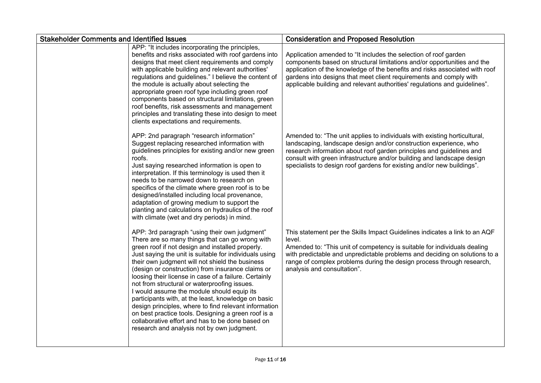| <b>Stakeholder Comments and Identified Issues</b> |                                                                                                                                                                                                                                                                                                                                                                                                                                                                                                                                                                                                                                                                                                                                                        | <b>Consideration and Proposed Resolution</b>                                                                                                                                                                                                                                                                                                                                   |
|---------------------------------------------------|--------------------------------------------------------------------------------------------------------------------------------------------------------------------------------------------------------------------------------------------------------------------------------------------------------------------------------------------------------------------------------------------------------------------------------------------------------------------------------------------------------------------------------------------------------------------------------------------------------------------------------------------------------------------------------------------------------------------------------------------------------|--------------------------------------------------------------------------------------------------------------------------------------------------------------------------------------------------------------------------------------------------------------------------------------------------------------------------------------------------------------------------------|
|                                                   | APP: "It includes incorporating the principles,<br>benefits and risks associated with roof gardens into<br>designs that meet client requirements and comply<br>with applicable building and relevant authorities'<br>regulations and guidelines." I believe the content of<br>the module is actually about selecting the<br>appropriate green roof type including green roof<br>components based on structural limitations, green<br>roof benefits, risk assessments and management<br>principles and translating these into design to meet<br>clients expectations and requirements.                                                                                                                                                                  | Application amended to "It includes the selection of roof garden<br>components based on structural limitations and/or opportunities and the<br>application of the knowledge of the benefits and risks associated with roof<br>gardens into designs that meet client requirements and comply with<br>applicable building and relevant authorities' regulations and guidelines". |
|                                                   | APP: 2nd paragraph "research information"<br>Suggest replacing researched information with<br>guidelines principles for existing and/or new green<br>roofs.<br>Just saying researched information is open to<br>interpretation. If this terminology is used then it<br>needs to be narrowed down to research on<br>specifics of the climate where green roof is to be<br>designed/installed including local provenance,<br>adaptation of growing medium to support the<br>planting and calculations on hydraulics of the roof<br>with climate (wet and dry periods) in mind.                                                                                                                                                                           | Amended to: "The unit applies to individuals with existing horticultural,<br>landscaping, landscape design and/or construction experience, who<br>research information about roof garden principles and guidelines and<br>consult with green infrastructure and/or building and landscape design<br>specialists to design roof gardens for existing and/or new buildings".     |
|                                                   | APP: 3rd paragraph "using their own judgment"<br>There are so many things that can go wrong with<br>green roof if not design and installed properly.<br>Just saying the unit is suitable for individuals using<br>their own judgment will not shield the business<br>(design or construction) from insurance claims or<br>loosing their license in case of a failure. Certainly<br>not from structural or waterproofing issues.<br>I would assume the module should equip its<br>participants with, at the least, knowledge on basic<br>design principles, where to find relevant information<br>on best practice tools. Designing a green roof is a<br>collaborative effort and has to be done based on<br>research and analysis not by own judgment. | This statement per the Skills Impact Guidelines indicates a link to an AQF<br>level.<br>Amended to: "This unit of competency is suitable for individuals dealing<br>with predictable and unpredictable problems and deciding on solutions to a<br>range of complex problems during the design process through research,<br>analysis and consultation".                         |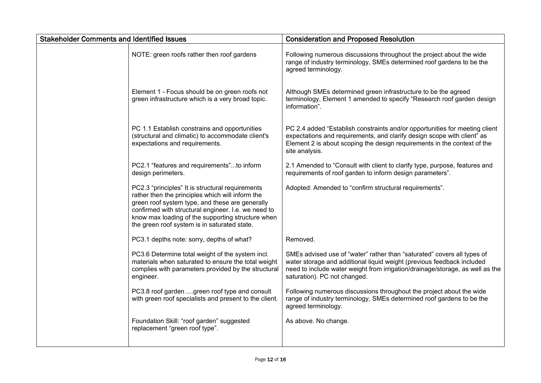| <b>Stakeholder Comments and Identified Issues</b> |                                                                                                                                                                                                                                                                                                                     | <b>Consideration and Proposed Resolution</b>                                                                                                                                                                                                                       |
|---------------------------------------------------|---------------------------------------------------------------------------------------------------------------------------------------------------------------------------------------------------------------------------------------------------------------------------------------------------------------------|--------------------------------------------------------------------------------------------------------------------------------------------------------------------------------------------------------------------------------------------------------------------|
|                                                   | NOTE: green roofs rather then roof gardens                                                                                                                                                                                                                                                                          | Following numerous discussions throughout the project about the wide<br>range of industry terminology, SMEs determined roof gardens to be the<br>agreed terminology.                                                                                               |
|                                                   | Element 1 - Focus should be on green roofs not<br>green infrastructure which is a very broad topic.                                                                                                                                                                                                                 | Although SMEs determined green infrastructure to be the agreed<br>terminology, Element 1 amended to specify "Research roof garden design<br>information".                                                                                                          |
|                                                   | PC 1.1 Establish constrains and opportunities<br>(structural and climatic) to accommodate client's<br>expectations and requirements.                                                                                                                                                                                | PC 2.4 added "Establish constraints and/or opportunities for meeting client<br>expectations and requirements, and clarify design scope with client" as<br>Element 2 is about scoping the design requirements in the context of the<br>site analysis.               |
|                                                   | PC2.1 "features and requirements"to inform<br>design perimeters.                                                                                                                                                                                                                                                    | 2.1 Amended to "Consult with client to clarify type, purpose, features and<br>requirements of roof garden to inform design parameters".                                                                                                                            |
|                                                   | PC2.3 "principles" It is structural requirements<br>rather then the principles which will inform the<br>green roof system type, and these are generally<br>confirmed with structural engineer. I.e. we need to<br>know max loading of the supporting structure when<br>the green roof system is in saturated state. | Adopted: Amended to "confirm structural requirements".                                                                                                                                                                                                             |
|                                                   | PC3.1 depths note: sorry, depths of what?                                                                                                                                                                                                                                                                           | Removed.                                                                                                                                                                                                                                                           |
|                                                   | PC3.6 Determine total weight of the system incl.<br>materials when saturated to ensure the total weight<br>complies with parameters provided by the structural<br>engineer.                                                                                                                                         | SMEs advised use of "water" rather than "saturated" covers all types of<br>water storage and additional liquid weight (previous feedback included<br>need to include water weight from irrigation/drainage/storage, as well as the<br>saturation). PC not changed. |
|                                                   | PC3.8 roof garden green roof type and consult<br>with green roof specialists and present to the client.                                                                                                                                                                                                             | Following numerous discussions throughout the project about the wide<br>range of industry terminology, SMEs determined roof gardens to be the<br>agreed terminology.                                                                                               |
|                                                   | Foundation Skill: "roof garden" suggested<br>replacement "green roof type".                                                                                                                                                                                                                                         | As above. No change.                                                                                                                                                                                                                                               |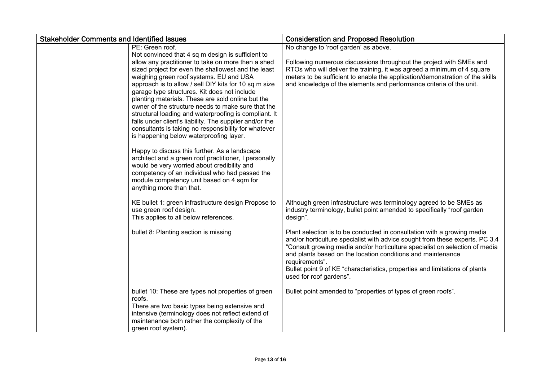| <b>Stakeholder Comments and Identified Issues</b> |                                                                                                         | <b>Consideration and Proposed Resolution</b>                                                  |
|---------------------------------------------------|---------------------------------------------------------------------------------------------------------|-----------------------------------------------------------------------------------------------|
|                                                   | PE: Green roof.                                                                                         | No change to 'roof garden' as above.                                                          |
|                                                   | Not convinced that 4 sq m design is sufficient to                                                       |                                                                                               |
|                                                   | allow any practitioner to take on more then a shed                                                      | Following numerous discussions throughout the project with SMEs and                           |
|                                                   | sized project for even the shallowest and the least                                                     | RTOs who will deliver the training, it was agreed a minimum of 4 square                       |
|                                                   | weighing green roof systems. EU and USA                                                                 | meters to be sufficient to enable the application/demonstration of the skills                 |
|                                                   | approach is to allow / sell DIY kits for 10 sq m size                                                   | and knowledge of the elements and performance criteria of the unit.                           |
|                                                   | garage type structures. Kit does not include                                                            |                                                                                               |
|                                                   | planting materials. These are sold online but the<br>owner of the structure needs to make sure that the |                                                                                               |
|                                                   | structural loading and waterproofing is compliant. It                                                   |                                                                                               |
|                                                   | falls under client's liability. The supplier and/or the                                                 |                                                                                               |
|                                                   | consultants is taking no responsibility for whatever                                                    |                                                                                               |
|                                                   | is happening below waterproofing layer.                                                                 |                                                                                               |
|                                                   |                                                                                                         |                                                                                               |
|                                                   | Happy to discuss this further. As a landscape                                                           |                                                                                               |
|                                                   | architect and a green roof practitioner, I personally                                                   |                                                                                               |
|                                                   | would be very worried about credibility and                                                             |                                                                                               |
|                                                   | competency of an individual who had passed the                                                          |                                                                                               |
|                                                   | module competency unit based on 4 sqm for                                                               |                                                                                               |
|                                                   | anything more than that.                                                                                |                                                                                               |
|                                                   | KE bullet 1: green infrastructure design Propose to                                                     | Although green infrastructure was terminology agreed to be SMEs as                            |
|                                                   | use green roof design.                                                                                  | industry terminology, bullet point amended to specifically "roof garden                       |
|                                                   | This applies to all below references.                                                                   | design".                                                                                      |
|                                                   |                                                                                                         |                                                                                               |
|                                                   | bullet 8: Planting section is missing                                                                   | Plant selection is to be conducted in consultation with a growing media                       |
|                                                   |                                                                                                         | and/or horticulture specialist with advice sought from these experts. PC 3.4                  |
|                                                   |                                                                                                         | "Consult growing media and/or horticulture specialist on selection of media                   |
|                                                   |                                                                                                         | and plants based on the location conditions and maintenance                                   |
|                                                   |                                                                                                         | requirements".<br>Bullet point 9 of KE "characteristics, properties and limitations of plants |
|                                                   |                                                                                                         | used for roof gardens".                                                                       |
|                                                   |                                                                                                         |                                                                                               |
|                                                   | bullet 10: These are types not properties of green                                                      | Bullet point amended to "properties of types of green roofs".                                 |
|                                                   | roofs.                                                                                                  |                                                                                               |
|                                                   | There are two basic types being extensive and                                                           |                                                                                               |
|                                                   | intensive (terminology does not reflect extend of                                                       |                                                                                               |
|                                                   | maintenance both rather the complexity of the                                                           |                                                                                               |
|                                                   | green roof system).                                                                                     |                                                                                               |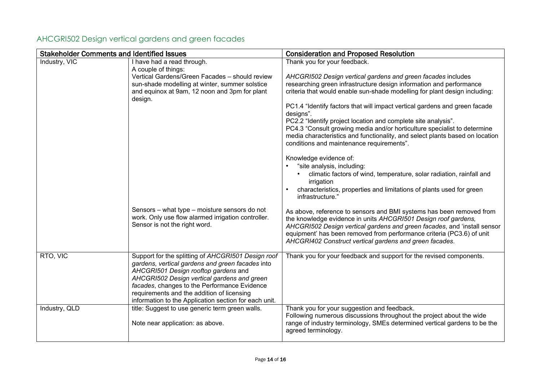| <b>Stakeholder Comments and Identified Issues</b> |                                                                                                                                                                                                                                                                                                                                                      | <b>Consideration and Proposed Resolution</b>                                                                                                                                                                                                                                                                                                           |
|---------------------------------------------------|------------------------------------------------------------------------------------------------------------------------------------------------------------------------------------------------------------------------------------------------------------------------------------------------------------------------------------------------------|--------------------------------------------------------------------------------------------------------------------------------------------------------------------------------------------------------------------------------------------------------------------------------------------------------------------------------------------------------|
| Industry, VIC                                     | I have had a read through.                                                                                                                                                                                                                                                                                                                           | Thank you for your feedback.                                                                                                                                                                                                                                                                                                                           |
|                                                   | A couple of things:<br>Vertical Gardens/Green Facades - should review<br>sun-shade modelling at winter, summer solstice<br>and equinox at 9am, 12 noon and 3pm for plant<br>design.                                                                                                                                                                  | AHCGRI502 Design vertical gardens and green facades includes<br>researching green infrastructure design information and performance<br>criteria that would enable sun-shade modelling for plant design including:<br>PC1.4 "Identify factors that will impact vertical gardens and green facade                                                        |
|                                                   |                                                                                                                                                                                                                                                                                                                                                      | designs".<br>PC2.2 "Identify project location and complete site analysis".<br>PC4.3 "Consult growing media and/or horticulture specialist to determine<br>media characteristics and functionality, and select plants based on location<br>conditions and maintenance requirements".                                                                    |
|                                                   |                                                                                                                                                                                                                                                                                                                                                      | Knowledge evidence of:<br>"site analysis, including:<br>climatic factors of wind, temperature, solar radiation, rainfall and<br>irrigation<br>characteristics, properties and limitations of plants used for green<br>infrastructure."                                                                                                                 |
|                                                   | Sensors - what type - moisture sensors do not<br>work. Only use flow alarmed irrigation controller.<br>Sensor is not the right word.                                                                                                                                                                                                                 | As above, reference to sensors and BMI systems has been removed from<br>the knowledge evidence in units AHCGRI501 Design roof gardens,<br>AHCGRI502 Design vertical gardens and green facades, and 'install sensor<br>equipment' has been removed from performance criteria (PC3.6) of unit<br>AHCGRI402 Construct vertical gardens and green facades. |
| RTO, VIC                                          | Support for the splitting of AHCGRI501 Design roof<br>gardens, vertical gardens and green facades into<br>AHCGRI501 Design rooftop gardens and<br>AHCGRI502 Design vertical gardens and green<br>facades, changes to the Performance Evidence<br>requirements and the addition of licensing<br>information to the Application section for each unit. | Thank you for your feedback and support for the revised components.                                                                                                                                                                                                                                                                                    |
| Industry, QLD                                     | title: Suggest to use generic term green walls.<br>Note near application: as above.                                                                                                                                                                                                                                                                  | Thank you for your suggestion and feedback.<br>Following numerous discussions throughout the project about the wide<br>range of industry terminology, SMEs determined vertical gardens to be the<br>agreed terminology.                                                                                                                                |

### <span id="page-13-0"></span>AHCGRI502 Design vertical gardens and green facades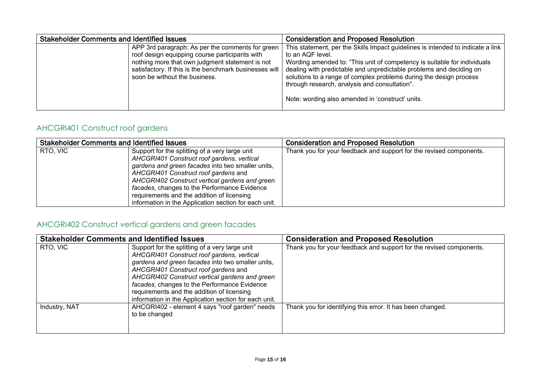| <b>Stakeholder Comments and Identified Issues</b> |                                                                                                                                                                                                                                                  | <b>Consideration and Proposed Resolution</b>                                                                                                                                                                                                                                                                                                                                                                                      |
|---------------------------------------------------|--------------------------------------------------------------------------------------------------------------------------------------------------------------------------------------------------------------------------------------------------|-----------------------------------------------------------------------------------------------------------------------------------------------------------------------------------------------------------------------------------------------------------------------------------------------------------------------------------------------------------------------------------------------------------------------------------|
|                                                   | APP 3rd paragraph: As per the comments for green<br>roof design equipping course participants with<br>nothing more that own judgment statement is not<br>satisfactory. If this is the benchmark businesses will<br>soon be without the business. | This statement, per the Skills Impact guidelines is intended to indicate a link<br>to an AQF level.<br>Wording amended to: "This unit of competency is suitable for individuals<br>dealing with predictable and unpredictable problems and deciding on<br>solutions to a range of complex problems during the design process<br>through research, analysis and consultation".<br>Note: wording also amended in 'construct' units. |
|                                                   |                                                                                                                                                                                                                                                  |                                                                                                                                                                                                                                                                                                                                                                                                                                   |

### <span id="page-14-0"></span>AHCGRI401 Construct roof gardens

| <b>Stakeholder Comments and Identified Issues</b> |                                                                                                                                                                                                                                                                                                                                                                                                    | <b>Consideration and Proposed Resolution</b>                        |
|---------------------------------------------------|----------------------------------------------------------------------------------------------------------------------------------------------------------------------------------------------------------------------------------------------------------------------------------------------------------------------------------------------------------------------------------------------------|---------------------------------------------------------------------|
| RTO, VIC                                          | Support for the splitting of a very large unit<br>AHCGRI401 Construct roof gardens, vertical<br>gardens and green facades into two smaller units,<br>AHCGRI401 Construct roof gardens and<br>AHCGRI402 Construct vertical gardens and green<br>facades, changes to the Performance Evidence<br>requirements and the addition of licensing<br>information in the Application section for each unit. | Thank you for your feedback and support for the revised components. |

### <span id="page-14-1"></span>AHCGRI402 Construct vertical gardens and green facades

| <b>Stakeholder Comments and Identified Issues</b> |                                                                                                                                                                                                                                                                                                                                                                                                    | <b>Consideration and Proposed Resolution</b>                        |
|---------------------------------------------------|----------------------------------------------------------------------------------------------------------------------------------------------------------------------------------------------------------------------------------------------------------------------------------------------------------------------------------------------------------------------------------------------------|---------------------------------------------------------------------|
| RTO, VIC                                          | Support for the splitting of a very large unit<br>AHCGRI401 Construct roof gardens, vertical<br>gardens and green facades into two smaller units,<br>AHCGRI401 Construct roof gardens and<br>AHCGRI402 Construct vertical gardens and green<br>facades, changes to the Performance Evidence<br>requirements and the addition of licensing<br>information in the Application section for each unit. | Thank you for your feedback and support for the revised components. |
| Industry, NAT                                     | AHCGRI402 - element 4 says "roof garden" needs<br>to be changed                                                                                                                                                                                                                                                                                                                                    | Thank you for identifying this error. It has been changed.          |